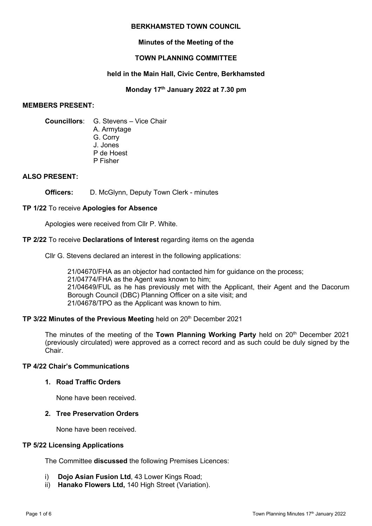## **BERKHAMSTED TOWN COUNCIL**

# **Minutes of the Meeting of the**

# **TOWN PLANNING COMMITTEE**

# **held in the Main Hall, Civic Centre, Berkhamsted**

# **Monday 17th January 2022 at 7.30 pm**

## **MEMBERS PRESENT:**

**Councillors**: G. Stevens – Vice Chair

- A. Armytage
- G. Corry
- J. Jones
- P de Hoest P Fisher

# **ALSO PRESENT:**

**Officers:** D. McGlynn, Deputy Town Clerk - minutes

# **TP 1/22** To receive **Apologies for Absence**

Apologies were received from Cllr P. White.

# **TP 2/22** To receive **Declarations of Interest** regarding items on the agenda

Cllr G. Stevens declared an interest in the following applications:

21/04670/FHA as an objector had contacted him for guidance on the process; 21/04774/FHA as the Agent was known to him; 21/04649/FUL as he has previously met with the Applicant, their Agent and the Dacorum Borough Council (DBC) Planning Officer on a site visit; and 21/04678/TPO as the Applicant was known to him.

# **TP 3/22 Minutes of the Previous Meeting held on 20<sup>th</sup> December 2021**

The minutes of the meeting of the **Town Planning Working Party** held on 20<sup>th</sup> December 2021 (previously circulated) were approved as a correct record and as such could be duly signed by the Chair.

# **TP 4/22 Chair's Communications**

# **1. Road Traffic Orders**

None have been received.

# **2. Tree Preservation Orders**

None have been received.

# **TP 5/22 Licensing Applications**

The Committee **discussed** the following Premises Licences:

- i) **Dojo Asian Fusion Ltd**, 43 Lower Kings Road;
- ii) **Hanako Flowers Ltd,** 140 High Street (Variation).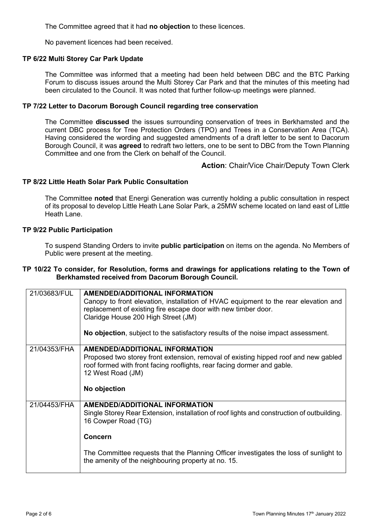The Committee agreed that it had **no objection** to these licences.

No pavement licences had been received.

## **TP 6/22 Multi Storey Car Park Update**

The Committee was informed that a meeting had been held between DBC and the BTC Parking Forum to discuss issues around the Multi Storey Car Park and that the minutes of this meeting had been circulated to the Council. It was noted that further follow-up meetings were planned.

## **TP 7/22 Letter to Dacorum Borough Council regarding tree conservation**

The Committee **discussed** the issues surrounding conservation of trees in Berkhamsted and the current DBC process for Tree Protection Orders (TPO) and Trees in a Conservation Area (TCA). Having considered the wording and suggested amendments of a draft letter to be sent to Dacorum Borough Council, it was **agreed** to redraft two letters, one to be sent to DBC from the Town Planning Committee and one from the Clerk on behalf of the Council.

**Action**: Chair/Vice Chair/Deputy Town Clerk

## **TP 8/22 Little Heath Solar Park Public Consultation**

The Committee **noted** that Energi Generation was currently holding a public consultation in respect of its proposal to develop Little Heath Lane Solar Park, a 25MW scheme located on land east of Little Heath Lane.

#### **TP 9/22 Public Participation**

To suspend Standing Orders to invite **public participation** on items on the agenda. No Members of Public were present at the meeting.

## **TP 10/22 To consider, for Resolution, forms and drawings for applications relating to the Town of Berkhamsted received from Dacorum Borough Council.**

| 21/03683/FUL | <b>AMENDED/ADDITIONAL INFORMATION</b><br>Canopy to front elevation, installation of HVAC equipment to the rear elevation and<br>replacement of existing fire escape door with new timber door.<br>Claridge House 200 High Street (JM)<br>No objection, subject to the satisfactory results of the noise impact assessment.   |
|--------------|------------------------------------------------------------------------------------------------------------------------------------------------------------------------------------------------------------------------------------------------------------------------------------------------------------------------------|
| 21/04353/FHA | <b>AMENDED/ADDITIONAL INFORMATION</b><br>Proposed two storey front extension, removal of existing hipped roof and new gabled<br>roof formed with front facing rooflights, rear facing dormer and gable.<br>12 West Road (JM)<br>No objection                                                                                 |
| 21/04453/FHA | <b>AMENDED/ADDITIONAL INFORMATION</b><br>Single Storey Rear Extension, installation of roof lights and construction of outbuilding.<br>16 Cowper Road (TG)<br><b>Concern</b><br>The Committee requests that the Planning Officer investigates the loss of sunlight to<br>the amenity of the neighbouring property at no. 15. |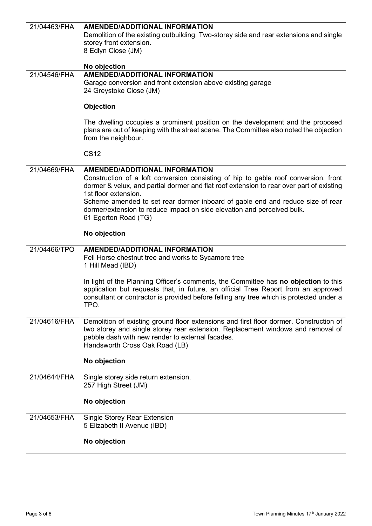| 21/04463/FHA | <b>AMENDED/ADDITIONAL INFORMATION</b>                                                                                                                                     |
|--------------|---------------------------------------------------------------------------------------------------------------------------------------------------------------------------|
|              | Demolition of the existing outbuilding. Two-storey side and rear extensions and single                                                                                    |
|              | storey front extension.                                                                                                                                                   |
|              | 8 Edlyn Close (JM)                                                                                                                                                        |
|              |                                                                                                                                                                           |
|              | No objection<br><b>AMENDED/ADDITIONAL INFORMATION</b>                                                                                                                     |
| 21/04546/FHA | Garage conversion and front extension above existing garage                                                                                                               |
|              | 24 Greystoke Close (JM)                                                                                                                                                   |
|              |                                                                                                                                                                           |
|              | Objection                                                                                                                                                                 |
|              |                                                                                                                                                                           |
|              | The dwelling occupies a prominent position on the development and the proposed                                                                                            |
|              | plans are out of keeping with the street scene. The Committee also noted the objection<br>from the neighbour.                                                             |
|              |                                                                                                                                                                           |
|              | <b>CS12</b>                                                                                                                                                               |
|              |                                                                                                                                                                           |
| 21/04669/FHA | <b>AMENDED/ADDITIONAL INFORMATION</b>                                                                                                                                     |
|              | Construction of a loft conversion consisting of hip to gable roof conversion, front                                                                                       |
|              | dormer & velux, and partial dormer and flat roof extension to rear over part of existing                                                                                  |
|              | 1st floor extension.<br>Scheme amended to set rear dormer inboard of gable end and reduce size of rear                                                                    |
|              | dormer/extension to reduce impact on side elevation and perceived bulk.                                                                                                   |
|              | 61 Egerton Road (TG)                                                                                                                                                      |
|              |                                                                                                                                                                           |
|              | No objection                                                                                                                                                              |
| 21/04466/TPO | <b>AMENDED/ADDITIONAL INFORMATION</b>                                                                                                                                     |
|              | Fell Horse chestnut tree and works to Sycamore tree                                                                                                                       |
|              | 1 Hill Mead (IBD)                                                                                                                                                         |
|              |                                                                                                                                                                           |
|              | In light of the Planning Officer's comments, the Committee has no objection to this<br>application but requests that, in future, an official Tree Report from an approved |
|              | consultant or contractor is provided before felling any tree which is protected under a                                                                                   |
|              | TPO.                                                                                                                                                                      |
|              |                                                                                                                                                                           |
| 21/04616/FHA | Demolition of existing ground floor extensions and first floor dormer. Construction of                                                                                    |
|              | two storey and single storey rear extension. Replacement windows and removal of                                                                                           |
|              | pebble dash with new render to external facades.                                                                                                                          |
|              | Handsworth Cross Oak Road (LB)                                                                                                                                            |
|              | No objection                                                                                                                                                              |
|              |                                                                                                                                                                           |
| 21/04644/FHA | Single storey side return extension.                                                                                                                                      |
|              | 257 High Street (JM)                                                                                                                                                      |
|              |                                                                                                                                                                           |
|              | No objection                                                                                                                                                              |
| 21/04653/FHA | <b>Single Storey Rear Extension</b>                                                                                                                                       |
|              | 5 Elizabeth II Avenue (IBD)                                                                                                                                               |
|              |                                                                                                                                                                           |
|              | No objection                                                                                                                                                              |
|              |                                                                                                                                                                           |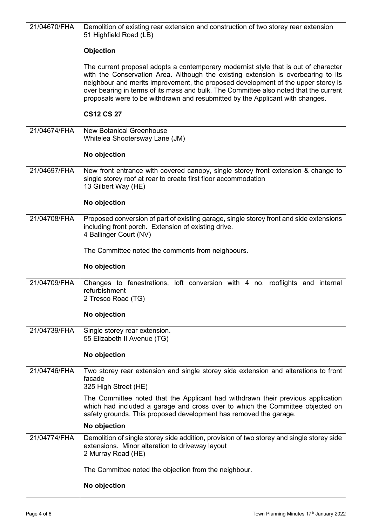|              | Demolition of existing rear extension and construction of two storey rear extension<br>51 Highfield Road (LB)                                                                                                                                                                                                                                                                                                                           |
|--------------|-----------------------------------------------------------------------------------------------------------------------------------------------------------------------------------------------------------------------------------------------------------------------------------------------------------------------------------------------------------------------------------------------------------------------------------------|
|              | <b>Objection</b>                                                                                                                                                                                                                                                                                                                                                                                                                        |
|              | The current proposal adopts a contemporary modernist style that is out of character<br>with the Conservation Area. Although the existing extension is overbearing to its<br>neighbour and merits improvement, the proposed development of the upper storey is<br>over bearing in terms of its mass and bulk. The Committee also noted that the current<br>proposals were to be withdrawn and resubmitted by the Applicant with changes. |
|              | <b>CS12 CS 27</b>                                                                                                                                                                                                                                                                                                                                                                                                                       |
| 21/04674/FHA | <b>New Botanical Greenhouse</b><br>Whitelea Shootersway Lane (JM)                                                                                                                                                                                                                                                                                                                                                                       |
|              | No objection                                                                                                                                                                                                                                                                                                                                                                                                                            |
| 21/04697/FHA | New front entrance with covered canopy, single storey front extension & change to<br>single storey roof at rear to create first floor accommodation<br>13 Gilbert Way (HE)                                                                                                                                                                                                                                                              |
|              | No objection                                                                                                                                                                                                                                                                                                                                                                                                                            |
| 21/04708/FHA | Proposed conversion of part of existing garage, single storey front and side extensions<br>including front porch. Extension of existing drive.<br>4 Ballinger Court (NV)                                                                                                                                                                                                                                                                |
|              | The Committee noted the comments from neighbours.                                                                                                                                                                                                                                                                                                                                                                                       |
|              | No objection                                                                                                                                                                                                                                                                                                                                                                                                                            |
| 21/04709/FHA | Changes to fenestrations, loft conversion with 4 no. rooflights and internal<br>refurbishment<br>2 Tresco Road (TG)                                                                                                                                                                                                                                                                                                                     |
|              |                                                                                                                                                                                                                                                                                                                                                                                                                                         |
|              | No objection                                                                                                                                                                                                                                                                                                                                                                                                                            |
| 21/04739/FHA | Single storey rear extension.<br>55 Elizabeth II Avenue (TG)                                                                                                                                                                                                                                                                                                                                                                            |
|              | No objection                                                                                                                                                                                                                                                                                                                                                                                                                            |
| 21/04746/FHA | Two storey rear extension and single storey side extension and alterations to front<br>facade<br>325 High Street (HE)                                                                                                                                                                                                                                                                                                                   |
|              | The Committee noted that the Applicant had withdrawn their previous application<br>which had included a garage and cross over to which the Committee objected on<br>safety grounds. This proposed development has removed the garage.                                                                                                                                                                                                   |
|              | No objection                                                                                                                                                                                                                                                                                                                                                                                                                            |
| 21/04774/FHA | Demolition of single storey side addition, provision of two storey and single storey side<br>extensions. Minor alteration to driveway layout<br>2 Murray Road (HE)                                                                                                                                                                                                                                                                      |
|              | The Committee noted the objection from the neighbour.                                                                                                                                                                                                                                                                                                                                                                                   |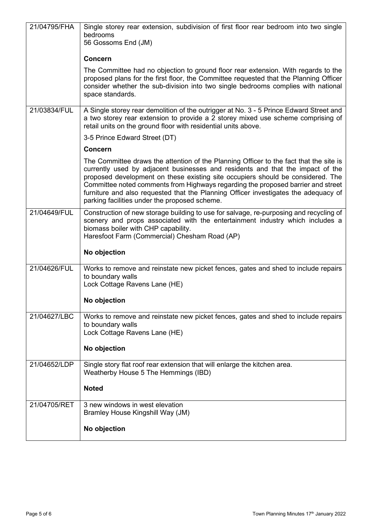| 21/04795/FHA | Single storey rear extension, subdivision of first floor rear bedroom into two single<br>bedrooms<br>56 Gossoms End (JM)                                                                                                                                                                                                                                                                                                                                                                |
|--------------|-----------------------------------------------------------------------------------------------------------------------------------------------------------------------------------------------------------------------------------------------------------------------------------------------------------------------------------------------------------------------------------------------------------------------------------------------------------------------------------------|
|              | <b>Concern</b>                                                                                                                                                                                                                                                                                                                                                                                                                                                                          |
|              | The Committee had no objection to ground floor rear extension. With regards to the<br>proposed plans for the first floor, the Committee requested that the Planning Officer<br>consider whether the sub-division into two single bedrooms complies with national<br>space standards.                                                                                                                                                                                                    |
| 21/03834/FUL | A Single storey rear demolition of the outrigger at No. 3 - 5 Prince Edward Street and<br>a two storey rear extension to provide a 2 storey mixed use scheme comprising of<br>retail units on the ground floor with residential units above.                                                                                                                                                                                                                                            |
|              | 3-5 Prince Edward Street (DT)                                                                                                                                                                                                                                                                                                                                                                                                                                                           |
|              | <b>Concern</b>                                                                                                                                                                                                                                                                                                                                                                                                                                                                          |
|              | The Committee draws the attention of the Planning Officer to the fact that the site is<br>currently used by adjacent businesses and residents and that the impact of the<br>proposed development on these existing site occupiers should be considered. The<br>Committee noted comments from Highways regarding the proposed barrier and street<br>furniture and also requested that the Planning Officer investigates the adequacy of<br>parking facilities under the proposed scheme. |
| 21/04649/FUL | Construction of new storage building to use for salvage, re-purposing and recycling of<br>scenery and props associated with the entertainment industry which includes a<br>biomass boiler with CHP capability.<br>Haresfoot Farm (Commercial) Chesham Road (AP)<br>No objection                                                                                                                                                                                                         |
|              |                                                                                                                                                                                                                                                                                                                                                                                                                                                                                         |
| 21/04626/FUL | Works to remove and reinstate new picket fences, gates and shed to include repairs<br>to boundary walls<br>Lock Cottage Ravens Lane (HE)                                                                                                                                                                                                                                                                                                                                                |
|              | No objection                                                                                                                                                                                                                                                                                                                                                                                                                                                                            |
| 21/04627/LBC | Works to remove and reinstate new picket fences, gates and shed to include repairs<br>to boundary walls<br>Lock Cottage Ravens Lane (HE)                                                                                                                                                                                                                                                                                                                                                |
|              | No objection                                                                                                                                                                                                                                                                                                                                                                                                                                                                            |
| 21/04652/LDP | Single story flat roof rear extension that will enlarge the kitchen area.<br>Weatherby House 5 The Hemmings (IBD)                                                                                                                                                                                                                                                                                                                                                                       |
|              | <b>Noted</b>                                                                                                                                                                                                                                                                                                                                                                                                                                                                            |
| 21/04705/RET | 3 new windows in west elevation<br>Bramley House Kingshill Way (JM)                                                                                                                                                                                                                                                                                                                                                                                                                     |
|              | No objection                                                                                                                                                                                                                                                                                                                                                                                                                                                                            |